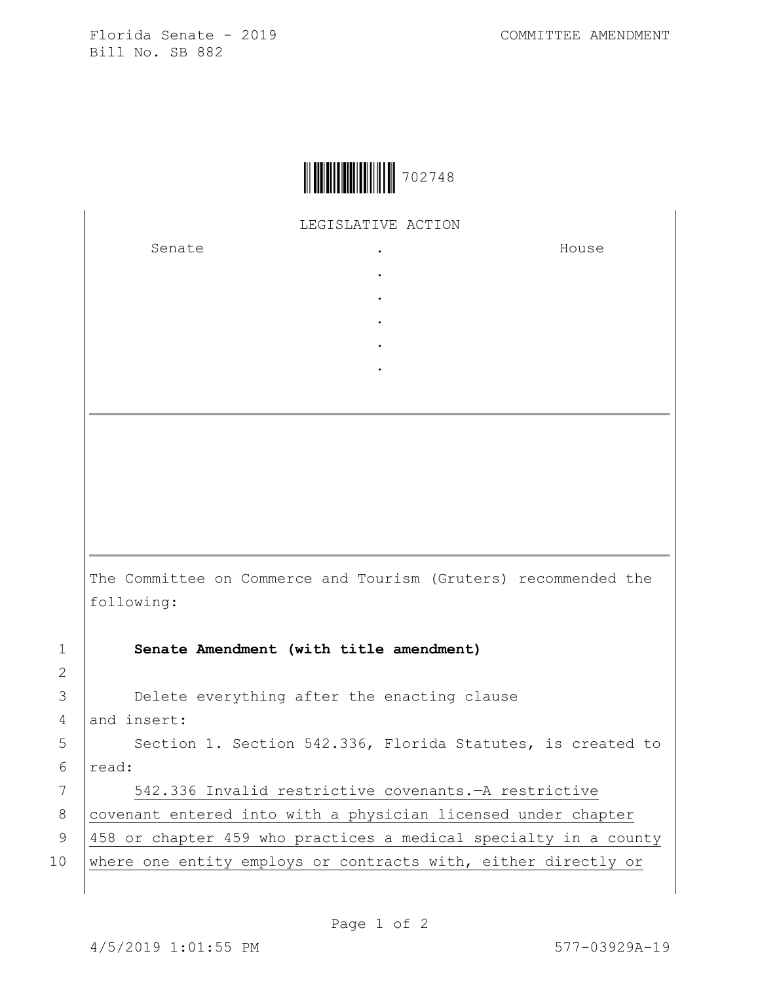Florida Senate - 2019 COMMITTEE AMENDMENT Bill No. SB 882



LEGISLATIVE ACTION

. . . . .

Senate .

House

The Committee on Commerce and Tourism (Gruters) recommended the following:

2

1 **Senate Amendment (with title amendment)**

3 Delete everything after the enacting clause

4 and insert:

5 | Section 1. Section 542.336, Florida Statutes, is created to 6 read:

7 542.336 Invalid restrictive covenants.—A restrictive 8 covenant entered into with a physician licensed under chapter 9 458 or chapter 459 who practices a medical specialty in a county 10 where one entity employs or contracts with, either directly or